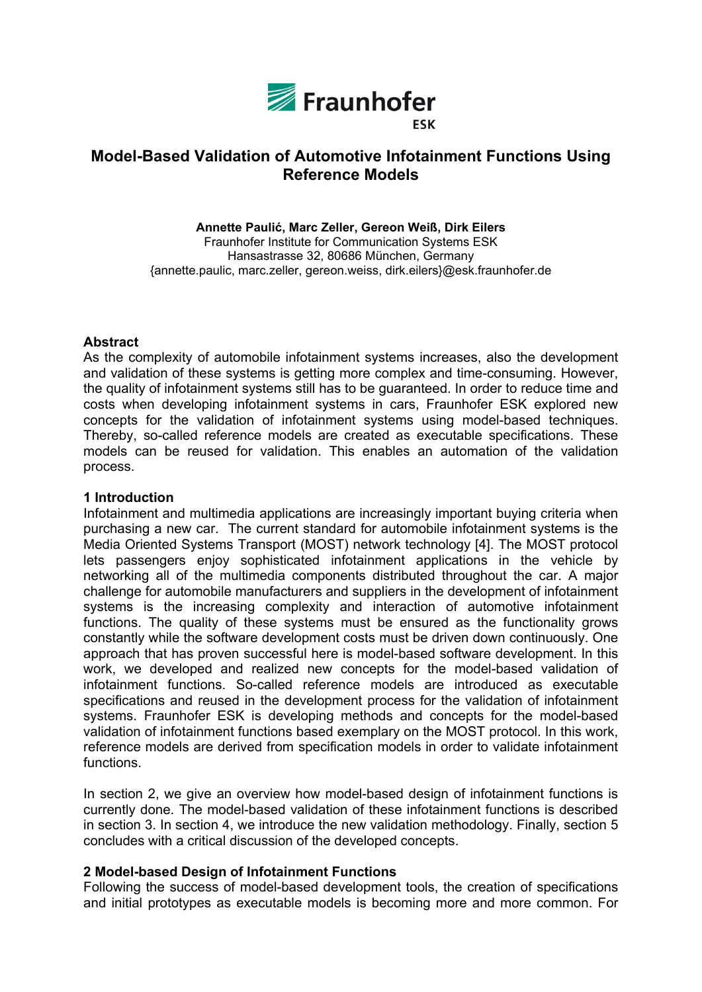

# **Model-Based Validation of Automotive Infotainment Functions Using Reference Models**

**Annette Paulić, Marc Zeller, Gereon Weiß, Dirk Eilers**  Fraunhofer Institute for Communication Systems ESK Hansastrasse 32, 80686 München, Germany {annette.paulic, marc.zeller, gereon.weiss, dirk.eilers}@esk.fraunhofer.de

#### **Abstract**

As the complexity of automobile infotainment systems increases, also the development and validation of these systems is getting more complex and time-consuming. However, the quality of infotainment systems still has to be guaranteed. In order to reduce time and costs when developing infotainment systems in cars, Fraunhofer ESK explored new concepts for the validation of infotainment systems using model-based techniques. Thereby, so-called reference models are created as executable specifications. These models can be reused for validation. This enables an automation of the validation process.

#### **1 Introduction**

Infotainment and multimedia applications are increasingly important buying criteria when purchasing a new car. The current standard for automobile infotainment systems is the Media Oriented Systems Transport (MOST) network technology [4]. The MOST protocol lets passengers enjoy sophisticated infotainment applications in the vehicle by networking all of the multimedia components distributed throughout the car. A major challenge for automobile manufacturers and suppliers in the development of infotainment systems is the increasing complexity and interaction of automotive infotainment functions. The quality of these systems must be ensured as the functionality grows constantly while the software development costs must be driven down continuously. One approach that has proven successful here is model-based software development. In this work, we developed and realized new concepts for the model-based validation of infotainment functions. So-called reference models are introduced as executable specifications and reused in the development process for the validation of infotainment systems. Fraunhofer ESK is developing methods and concepts for the model-based validation of infotainment functions based exemplary on the MOST protocol. In this work, reference models are derived from specification models in order to validate infotainment functions.

In section 2, we give an overview how model-based design of infotainment functions is currently done. The model-based validation of these infotainment functions is described in section 3. In section 4, we introduce the new validation methodology. Finally, section 5 concludes with a critical discussion of the developed concepts.

### **2 Model-based Design of Infotainment Functions**

Following the success of model-based development tools, the creation of specifications and initial prototypes as executable models is becoming more and more common. For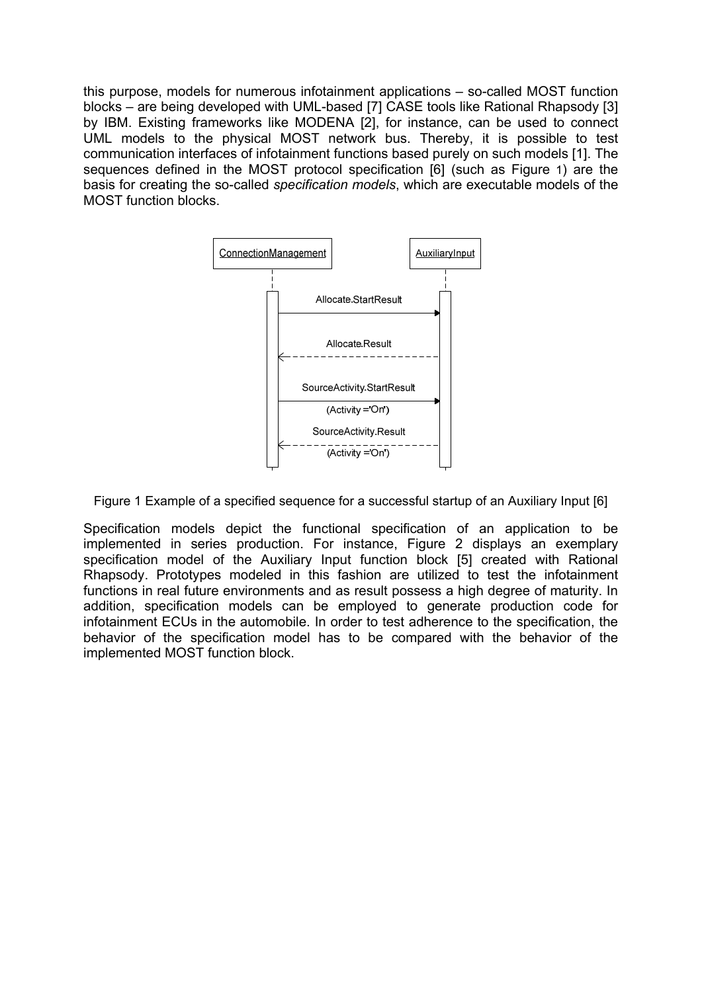this purpose, models for numerous infotainment applications – so-called MOST function blocks – are being developed with UML-based [7] CASE tools like Rational Rhapsody [3] by IBM. Existing frameworks like MODENA [2], for instance, can be used to connect UML models to the physical MOST network bus. Thereby, it is possible to test communication interfaces of infotainment functions based purely on such models [1]. The sequences defined in the MOST protocol specification [6] (such as Figure 1) are the basis for creating the so-called *specification models*, which are executable models of the MOST function blocks.



Figure 1 Example of a specified sequence for a successful startup of an Auxiliary Input [6]

Specification models depict the functional specification of an application to be implemented in series production. For instance, Figure 2 displays an exemplary specification model of the Auxiliary Input function block [5] created with Rational Rhapsody. Prototypes modeled in this fashion are utilized to test the infotainment functions in real future environments and as result possess a high degree of maturity. In addition, specification models can be employed to generate production code for infotainment ECUs in the automobile. In order to test adherence to the specification, the behavior of the specification model has to be compared with the behavior of the implemented MOST function block.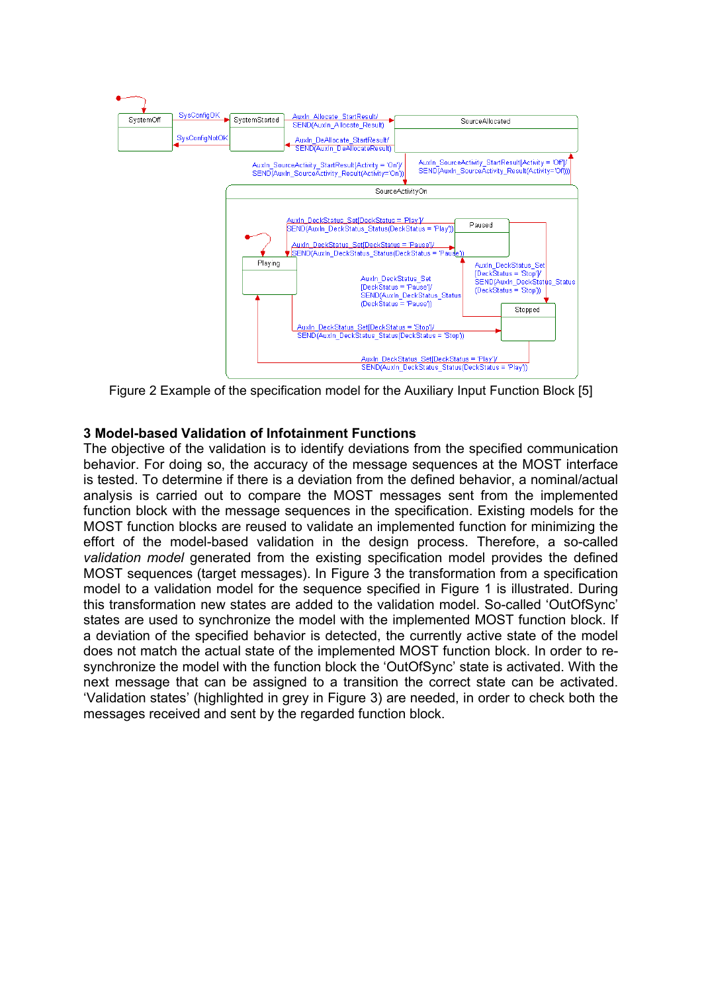

Figure 2 Example of the specification model for the Auxiliary Input Function Block [5]

#### **3 Model-based Validation of Infotainment Functions**

The objective of the validation is to identify deviations from the specified communication behavior. For doing so, the accuracy of the message sequences at the MOST interface is tested. To determine if there is a deviation from the defined behavior, a nominal/actual analysis is carried out to compare the MOST messages sent from the implemented function block with the message sequences in the specification. Existing models for the MOST function blocks are reused to validate an implemented function for minimizing the effort of the model-based validation in the design process. Therefore, a so-called *validation model* generated from the existing specification model provides the defined MOST sequences (target messages). In Figure 3 the transformation from a specification model to a validation model for the sequence specified in Figure 1 is illustrated. During this transformation new states are added to the validation model. So-called 'OutOfSync' states are used to synchronize the model with the implemented MOST function block. If a deviation of the specified behavior is detected, the currently active state of the model does not match the actual state of the implemented MOST function block. In order to resynchronize the model with the function block the 'OutOfSync' state is activated. With the next message that can be assigned to a transition the correct state can be activated. 'Validation states' (highlighted in grey in Figure 3) are needed, in order to check both the messages received and sent by the regarded function block.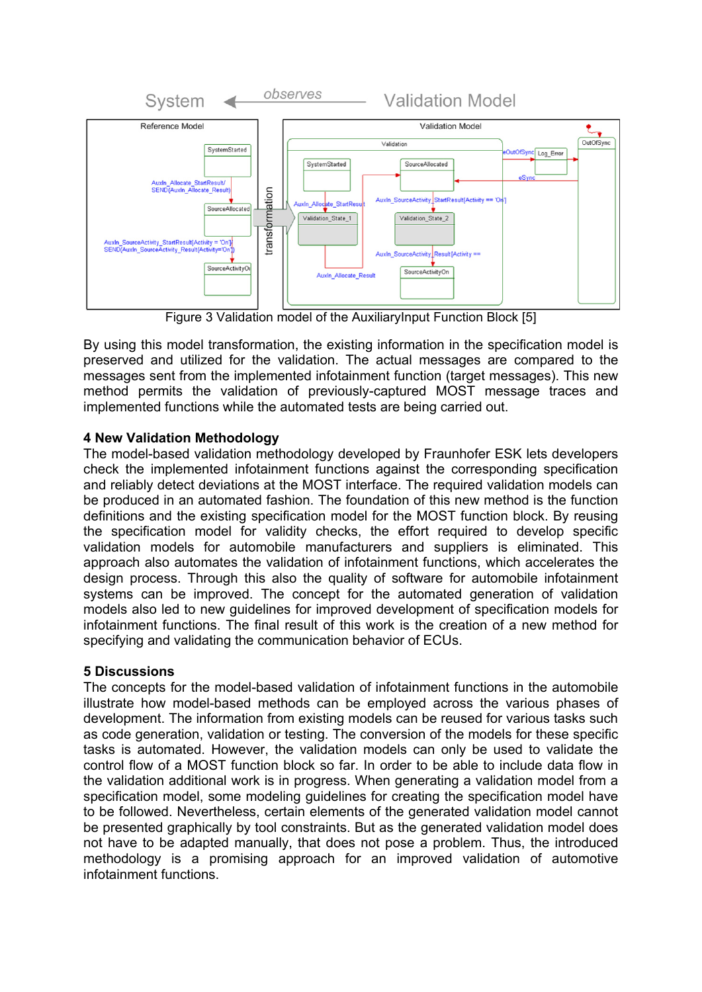

Figure 3 Validation model of the AuxiliaryInput Function Block [5]

By using this model transformation, the existing information in the specification model is preserved and utilized for the validation. The actual messages are compared to the messages sent from the implemented infotainment function (target messages). This new method permits the validation of previously-captured MOST message traces and implemented functions while the automated tests are being carried out.

# **4 New Validation Methodology**

The model-based validation methodology developed by Fraunhofer ESK lets developers check the implemented infotainment functions against the corresponding specification and reliably detect deviations at the MOST interface. The required validation models can be produced in an automated fashion. The foundation of this new method is the function definitions and the existing specification model for the MOST function block. By reusing the specification model for validity checks, the effort required to develop specific validation models for automobile manufacturers and suppliers is eliminated. This approach also automates the validation of infotainment functions, which accelerates the design process. Through this also the quality of software for automobile infotainment systems can be improved. The concept for the automated generation of validation models also led to new guidelines for improved development of specification models for infotainment functions. The final result of this work is the creation of a new method for specifying and validating the communication behavior of ECUs.

# **5 Discussions**

The concepts for the model-based validation of infotainment functions in the automobile illustrate how model-based methods can be employed across the various phases of development. The information from existing models can be reused for various tasks such as code generation, validation or testing. The conversion of the models for these specific tasks is automated. However, the validation models can only be used to validate the control flow of a MOST function block so far. In order to be able to include data flow in the validation additional work is in progress. When generating a validation model from a specification model, some modeling guidelines for creating the specification model have to be followed. Nevertheless, certain elements of the generated validation model cannot be presented graphically by tool constraints. But as the generated validation model does not have to be adapted manually, that does not pose a problem. Thus, the introduced methodology is a promising approach for an improved validation of automotive infotainment functions.